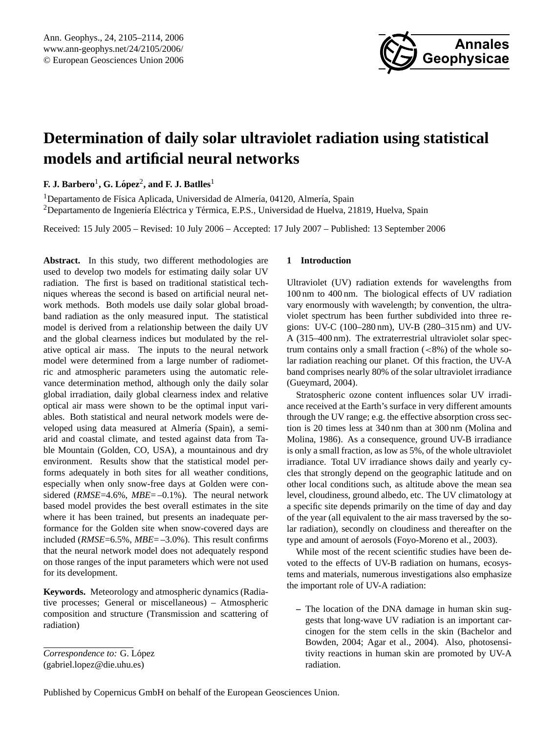

# **Determination of daily solar ultraviolet radiation using statistical models and artificial neural networks**

 ${\bf F.\ J.\ Bartbero^1,\ G.\ López^2,\ and\ F.\ J.\ Battles^1}$ 

 $1$ Departamento de Física Aplicada, Universidad de Almería, 04120, Almería, Spain <sup>2</sup>Departamento de Ingeniería Eléctrica y Térmica, E.P.S., Universidad de Huelva, 21819, Huelva, Spain

Received: 15 July 2005 – Revised: 10 July 2006 – Accepted: 17 July 2007 – Published: 13 September 2006

**Abstract.** In this study, two different methodologies are used to develop two models for estimating daily solar UV radiation. The first is based on traditional statistical techniques whereas the second is based on artificial neural network methods. Both models use daily solar global broadband radiation as the only measured input. The statistical model is derived from a relationship between the daily UV and the global clearness indices but modulated by the relative optical air mass. The inputs to the neural network model were determined from a large number of radiometric and atmospheric parameters using the automatic relevance determination method, although only the daily solar global irradiation, daily global clearness index and relative optical air mass were shown to be the optimal input variables. Both statistical and neural network models were developed using data measured at Almería (Spain), a semiarid and coastal climate, and tested against data from Table Mountain (Golden, CO, USA), a mountainous and dry environment. Results show that the statistical model performs adequately in both sites for all weather conditions, especially when only snow-free days at Golden were considered (*RMSE*=4.6%, *MBE*=-0.1%). The neural network based model provides the best overall estimates in the site where it has been trained, but presents an inadequate performance for the Golden site when snow-covered days are included (*RMSE*=6.5%, *MBE*= –3.0%). This result confirms that the neural network model does not adequately respond on those ranges of the input parameters which were not used for its development.

**Keywords.** Meteorology and atmospheric dynamics (Radiative processes; General or miscellaneous) – Atmospheric composition and structure (Transmission and scattering of radiation)

# **1 Introduction**

Ultraviolet (UV) radiation extends for wavelengths from 100 nm to 400 nm. The biological effects of UV radiation vary enormously with wavelength; by convention, the ultraviolet spectrum has been further subdivided into three regions: UV-C (100–280 nm), UV-B (280–315 nm) and UV-A (315–400 nm). The extraterrestrial ultraviolet solar spectrum contains only a small fraction  $(< 8\%)$  of the whole solar radiation reaching our planet. Of this fraction, the UV-A band comprises nearly 80% of the solar ultraviolet irradiance (Gueymard, 2004).

Stratospheric ozone content influences solar UV irradiance received at the Earth's surface in very different amounts through the UV range; e.g. the effective absorption cross section is 20 times less at 340 nm than at 300 nm (Molina and Molina, 1986). As a consequence, ground UV-B irradiance is only a small fraction, as low as 5%, of the whole ultraviolet irradiance. Total UV irradiance shows daily and yearly cycles that strongly depend on the geographic latitude and on other local conditions such, as altitude above the mean sea level, cloudiness, ground albedo, etc. The UV climatology at a specific site depends primarily on the time of day and day of the year (all equivalent to the air mass traversed by the solar radiation), secondly on cloudiness and thereafter on the type and amount of aerosols (Foyo-Moreno et al., 2003).

While most of the recent scientific studies have been devoted to the effects of UV-B radiation on humans, ecosystems and materials, numerous investigations also emphasize the important role of UV-A radiation:

**–** The location of the DNA damage in human skin suggests that long-wave UV radiation is an important carcinogen for the stem cells in the skin (Bachelor and Bowden, 2004; Agar et al., 2004). Also, photosensitivity reactions in human skin are promoted by UV-A radiation.

<span id="page-0-0"></span>*Correspondence to:* G. Lopez ´ (gabriel.lopez@die.uhu.es)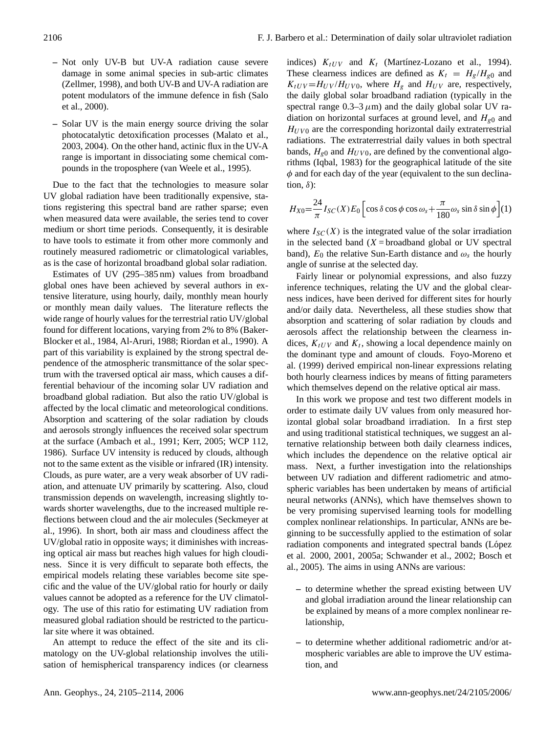- **–** Not only UV-B but UV-A radiation cause severe damage in some animal species in sub-artic climates (Zellmer, 1998), and both UV-B and UV-A radiation are potent modulators of the immune defence in fish (Salo et al., 2000).
- **–** Solar UV is the main energy source driving the solar photocatalytic detoxification processes (Malato et al., 2003, 2004). On the other hand, actinic flux in the UV-A range is important in dissociating some chemical compounds in the troposphere (van Weele et al., 1995).

Due to the fact that the technologies to measure solar UV global radiation have been traditionally expensive, stations registering this spectral band are rather sparse; even when measured data were available, the series tend to cover medium or short time periods. Consequently, it is desirable to have tools to estimate it from other more commonly and routinely measured radiometric or climatological variables, as is the case of horizontal broadband global solar radiation.

Estimates of UV (295–385 nm) values from broadband global ones have been achieved by several authors in extensive literature, using hourly, daily, monthly mean hourly or monthly mean daily values. The literature reflects the wide range of hourly values for the terrestrial ratio UV/global found for different locations, varying from 2% to 8% (Baker-Blocker et al., 1984, Al-Aruri, 1988; Riordan et al., 1990). A part of this variability is explained by the strong spectral dependence of the atmospheric transmittance of the solar spectrum with the traversed optical air mass, which causes a differential behaviour of the incoming solar UV radiation and broadband global radiation. But also the ratio UV/global is affected by the local climatic and meteorological conditions. Absorption and scattering of the solar radiation by clouds and aerosols strongly influences the received solar spectrum at the surface (Ambach et al., 1991; Kerr, 2005; WCP 112, 1986). Surface UV intensity is reduced by clouds, although not to the same extent as the visible or infrared (IR) intensity. Clouds, as pure water, are a very weak absorber of UV radiation, and attenuate UV primarily by scattering. Also, cloud transmission depends on wavelength, increasing slightly towards shorter wavelengths, due to the increased multiple reflections between cloud and the air molecules (Seckmeyer at al., 1996). In short, both air mass and cloudiness affect the UV/global ratio in opposite ways; it diminishes with increasing optical air mass but reaches high values for high cloudiness. Since it is very difficult to separate both effects, the empirical models relating these variables become site specific and the value of the UV/global ratio for hourly or daily values cannot be adopted as a reference for the UV climatology. The use of this ratio for estimating UV radiation from measured global radiation should be restricted to the particular site where it was obtained.

An attempt to reduce the effect of the site and its climatology on the UV-global relationship involves the utilisation of hemispherical transparency indices (or clearness indices)  $K_{tUV}$  and  $K_t$  (Martínez-Lozano et al., 1994). These clearness indices are defined as  $K_t = H_g/H_{g0}$  and  $K_{tUV} = H_{UV} / H_{UV0}$ , where  $H_g$  and  $H_{UV}$  are, respectively, the daily global solar broadband radiation (typically in the spectral range  $0.3-3 \mu m$ ) and the daily global solar UV radiation on horizontal surfaces at ground level, and  $H_{g0}$  and  $H_{UV0}$  are the corresponding horizontal daily extraterrestrial radiations. The extraterrestrial daily values in both spectral bands,  $H_{g0}$  and  $H_{UV0}$ , are defined by the conventional algorithms (Iqbal, 1983) for the geographical latitude of the site  $\phi$  and for each day of the year (equivalent to the sun declination,  $\delta$ ):

<span id="page-1-0"></span>
$$
H_{X0} = \frac{24}{\pi} I_{SC}(X) E_0 \left[ \cos \delta \cos \phi \cos \omega_s + \frac{\pi}{180} \omega_s \sin \delta \sin \phi \right] (1)
$$

where  $I_{SC}(X)$  is the integrated value of the solar irradiation in the selected band  $(X = broadband$  global or UV spectral band),  $E_0$  the relative Sun-Earth distance and  $\omega_s$  the hourly angle of sunrise at the selected day.

Fairly linear or polynomial expressions, and also fuzzy inference techniques, relating the UV and the global clearness indices, have been derived for different sites for hourly and/or daily data. Nevertheless, all these studies show that absorption and scattering of solar radiation by clouds and aerosols affect the relationship between the clearness indices,  $K_{tUV}$  and  $K_t$ , showing a local dependence mainly on the dominant type and amount of clouds. Foyo-Moreno et al. (1999) derived empirical non-linear expressions relating both hourly clearness indices by means of fitting parameters which themselves depend on the relative optical air mass.

In this work we propose and test two different models in order to estimate daily UV values from only measured horizontal global solar broadband irradiation. In a first step and using traditional statistical techniques, we suggest an alternative relationship between both daily clearness indices, which includes the dependence on the relative optical air mass. Next, a further investigation into the relationships between UV radiation and different radiometric and atmospheric variables has been undertaken by means of artificial neural networks (ANNs), which have themselves shown to be very promising supervised learning tools for modelling complex nonlinear relationships. In particular, ANNs are beginning to be successfully applied to the estimation of solar radiation components and integrated spectral bands (López et al. 2000, 2001, 2005a; Schwander et al., 2002; Bosch et al., 2005). The aims in using ANNs are various:

- **–** to determine whether the spread existing between UV and global irradiation around the linear relationship can be explained by means of a more complex nonlinear relationship,
- **–** to determine whether additional radiometric and/or atmospheric variables are able to improve the UV estimation, and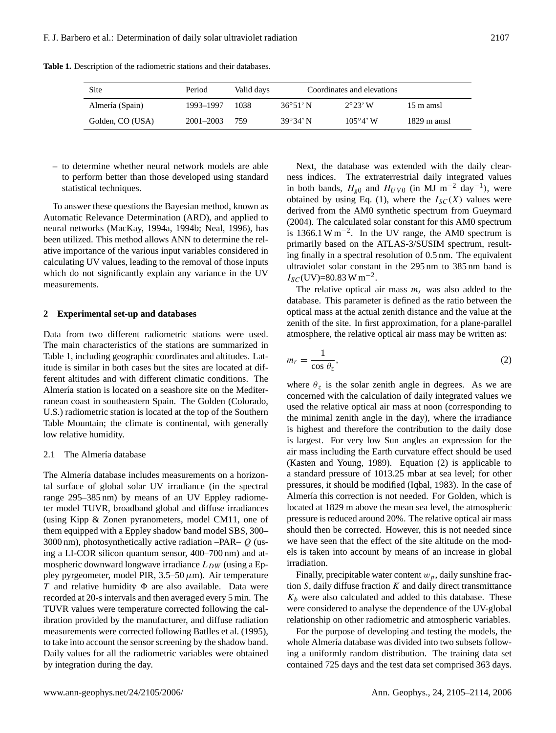**Table 1.** Description of the radiometric stations and their databases.

| Site             | Period        | Valid days | Coordinates and elevations |                   |                       |
|------------------|---------------|------------|----------------------------|-------------------|-----------------------|
| Almería (Spain)  | 1993-1997     | 1038       | $36^{\circ}51'$ N          | $2^{\circ}23'$ W  | 15 m amsl             |
| Golden, CO (USA) | $2001 - 2003$ | 759        | $39^{\circ}34'$ N          | $105^{\circ}4'$ W | $1829 \text{ m}$ amsl |

**–** to determine whether neural network models are able to perform better than those developed using standard statistical techniques.

To answer these questions the Bayesian method, known as Automatic Relevance Determination (ARD), and applied to neural networks (MacKay, 1994a, 1994b; Neal, 1996), has been utilized. This method allows ANN to determine the relative importance of the various input variables considered in calculating UV values, leading to the removal of those inputs which do not significantly explain any variance in the UV measurements.

## **2 Experimental set-up and databases**

Data from two different radiometric stations were used. The main characteristics of the stations are summarized in Table 1, including geographic coordinates and altitudes. Latitude is similar in both cases but the sites are located at different altitudes and with different climatic conditions. The Almería station is located on a seashore site on the Mediterranean coast in southeastern Spain. The Golden (Colorado, U.S.) radiometric station is located at the top of the Southern Table Mountain; the climate is continental, with generally low relative humidity.

## 2.1 The Almería database

The Almería database includes measurements on a horizontal surface of global solar UV irradiance (in the spectral range 295–385 nm) by means of an UV Eppley radiometer model TUVR, broadband global and diffuse irradiances (using Kipp & Zonen pyranometers, model CM11, one of them equipped with a Eppley shadow band model SBS, 300– 3000 nm), photosynthetically active radiation  $-PAR-Q$  (using a LI-COR silicon quantum sensor, 400–700 nm) and atmospheric downward longwave irradiance  $L_{DW}$  (using a Eppley pyrgeometer, model PIR,  $3.5-50 \,\mu$ m). Air temperature T and relative humidity  $\Phi$  are also available. Data were recorded at 20-s intervals and then averaged every 5 min. The TUVR values were temperature corrected following the calibration provided by the manufacturer, and diffuse radiation measurements were corrected following Batlles et al. (1995), to take into account the sensor screening by the shadow band. Daily values for all the radiometric variables were obtained by integration during the day.

Next, the database was extended with the daily clearness indices. The extraterrestrial daily integrated values in both bands,  $H_{g0}$  and  $H_{UV0}$  (in MJ m<sup>-2</sup> day<sup>-1</sup>), were obtained by using Eq. [\(1\)](#page-1-0), where the  $I_{SC}(X)$  values were derived from the AM0 synthetic spectrum from Gueymard (2004). The calculated solar constant for this AM0 spectrum is 1366.1 W m<sup>-2</sup>. In the UV range, the AM0 spectrum is primarily based on the ATLAS-3/SUSIM spectrum, resulting finally in a spectral resolution of 0.5 nm. The equivalent ultraviolet solar constant in the 295 nm to 385 nm band is  $I_{SC}$ (UV)=80.83 W m<sup>-2</sup>.

The relative optical air mass  $m<sub>r</sub>$  was also added to the database. This parameter is defined as the ratio between the optical mass at the actual zenith distance and the value at the zenith of the site. In first approximation, for a plane-parallel atmosphere, the relative optical air mass may be written as:

<span id="page-2-0"></span>
$$
m_r = \frac{1}{\cos \theta_z},\tag{2}
$$

where  $\theta_z$  is the solar zenith angle in degrees. As we are concerned with the calculation of daily integrated values we used the relative optical air mass at noon (corresponding to the minimal zenith angle in the day), where the irradiance is highest and therefore the contribution to the daily dose is largest. For very low Sun angles an expression for the air mass including the Earth curvature effect should be used (Kasten and Young, 1989). Equation [\(2\)](#page-2-0) is applicable to a standard pressure of 1013.25 mbar at sea level; for other pressures, it should be modified (Iqbal, 1983). In the case of Almería this correction is not needed. For Golden, which is located at 1829 m above the mean sea level, the atmospheric pressure is reduced around 20%. The relative optical air mass should then be corrected. However, this is not needed since we have seen that the effect of the site altitude on the models is taken into account by means of an increase in global irradiation.

Finally, precipitable water content  $w_p$ , daily sunshine fraction  $S$ , daily diffuse fraction  $K$  and daily direct transmittance  $K_b$  were also calculated and added to this database. These were considered to analyse the dependence of the UV-global relationship on other radiometric and atmospheric variables.

For the purpose of developing and testing the models, the whole Almería database was divided into two subsets following a uniformly random distribution. The training data set contained 725 days and the test data set comprised 363 days.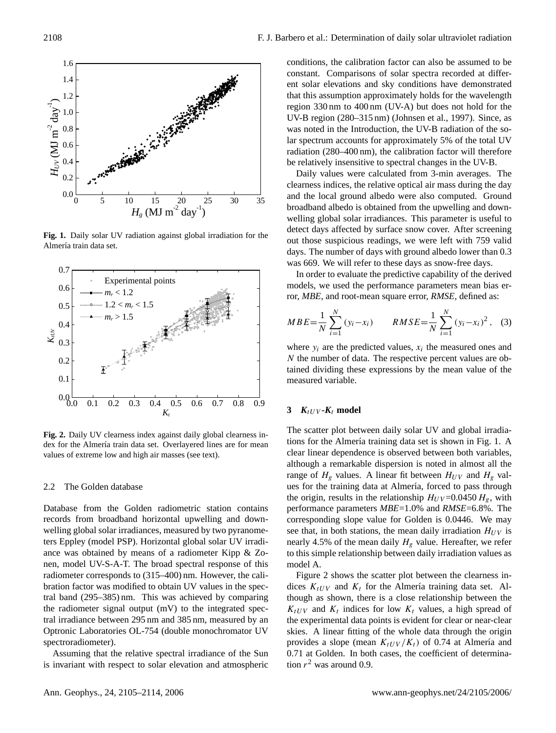

**Fig. 1.** Daily solar UV radiation against global irradiation for the Almería train data set.



**Fig. 2.** Daily UV clearness index against daily global clearness index for the Almería train data set. Overlayered lines are for mean values of extreme low and high air masses (see text).

#### 2.2 The Golden database

welling global solar irradiances, measured by two pyranome-Database from the Golden radiometric station contains records from broadband horizontal upwelling and downters Eppley (model PSP). Horizontal global solar UV irradiance was obtained by means of a radiometer Kipp & Zonen, model UV-S-A-T. The broad spectral response of this radiometer corresponds to (315–400) nm. However, the calibration factor was modified to obtain UV values in the spectral band (295–385) nm. This was achieved by comparing the radiometer signal output (mV) to the integrated spectral irradiance between 295 nm and 385 nm, measured by an Optronic Laboratories OL-754 (double monochromator UV spectroradiometer).

is invariant with respect to solar elevation and atmospheric Assuming that the relative spectral irradiance of the Sun conditions, the calibration factor can also be assumed to be constant. Comparisons of solar spectra recorded at different solar elevations and sky conditions have demonstrated that this assumption approximately holds for the wavelength region 330 nm to 400 nm (UV-A) but does not hold for the UV-B region (280–315 nm) (Johnsen et al., 1997). Since, as was noted in the Introduction, the UV-B radiation of the solar spectrum accounts for approximately 5% of the total UV radiation (280–400 nm), the calibration factor will therefore be relatively insensitive to spectral changes in the UV-B.

Daily values were calculated from 3-min averages. The clearness indices, the relative optical air mass during the day and the local ground albedo were also computed. Ground broadband albedo is obtained from the upwelling and downwelling global solar irradiances. This parameter is useful to detect days affected by surface snow cover. After screening out those suspicious readings, we were left with 759 valid days. The number of days with ground albedo lower than 0.3 was 669. We will refer to these days as snow-free days.

In order to evaluate the predictive capability of the derived models, we used the performance parameters mean bias error, *MBE,* and root-mean square error, *RMSE,* defined as:

$$
MBE = \frac{1}{N} \sum_{i=1}^{N} (y_i - x_i) \qquad RMSE = \frac{1}{N} \sum_{i=1}^{N} (y_i - x_i)^2, \quad (3)
$$

where  $y_i$  are the predicted values,  $x_i$  the measured ones and N the number of data. The respective percent values are obtained dividing these expressions by the mean value of the measured variable.

# **3**  $K_t$ <sub>UV</sub> - $K_t$  model

The scatter plot between daily solar UV and global irradiations for the Almería training data set is shown in Fig. 1. A clear linear dependence is observed between both variables, although a remarkable dispersion is noted in almost all the range of  $H<sub>g</sub>$  values. A linear fit between  $H<sub>UV</sub>$  and  $H<sub>g</sub>$  values for the training data at Almería, forced to pass through the origin, results in the relationship  $H_{UV}$ =0.0450  $H_{\varrho}$ , with performance parameters *MBE*=1.0% and *RMSE*=6.8%. The corresponding slope value for Golden is 0.0446. We may see that, in both stations, the mean daily irradiation  $H_{UV}$  is nearly 4.5% of the mean daily  $H<sub>g</sub>$  value. Hereafter, we refer to this simple relationship between daily irradiation values as model A.

Figure 2 shows the scatter plot between the clearness indices  $K_{tUV}$  and  $K_t$  for the Almería training data set. Although as shown, there is a close relationship between the  $K_{tUV}$  and  $K_t$  indices for low  $K_t$  values, a high spread of the experimental data points is evident for clear or near-clear skies. A linear fitting of the whole data through the origin provides a slope (mean  $K_{tUV}/K_t$ ) of 0.74 at Almería and 0.71 at Golden. In both cases, the coefficient of determination  $r^2$  was around 0.9.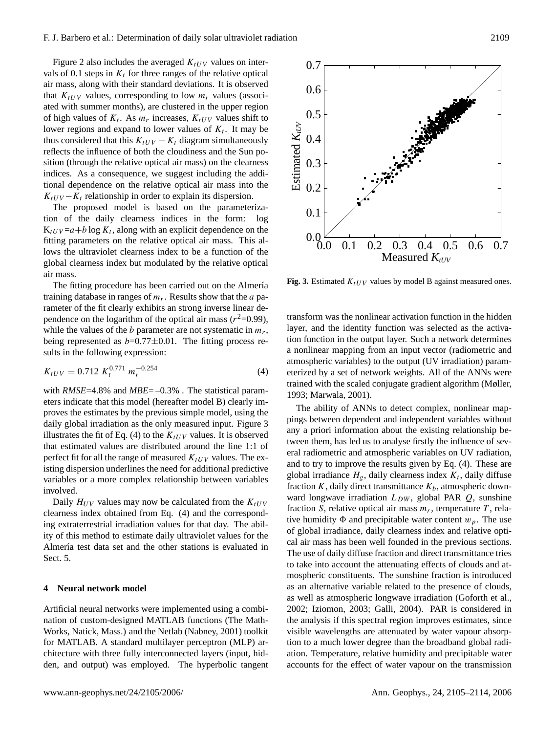Figure 2 also includes the averaged  $K_{tUV}$  values on intervals of 0.1 steps in  $K_t$  for three ranges of the relative optical air mass, along with their standard deviations. It is observed that  $K_{tUV}$  values, corresponding to low  $m<sub>r</sub>$  values (associated with summer months), are clustered in the upper region of high values of  $K_t$ . As  $m_r$  increases,  $K_{tUV}$  values shift to lower regions and expand to lower values of  $K_t$ . It may be thus considered that this  $K_{tUV} - K_t$  diagram simultaneously reflects the influence of both the cloudiness and the Sun position (through the relative optical air mass) on the clearness indices. As a consequence, we suggest including the additional dependence on the relative optical air mass into the  $K_{tUV} - K_t$  relationship in order to explain its dispersion.

The proposed model is based on the parameterization of the daily clearness indices in the form: log  $K_{tUV} = a + b \log K_t$ , along with an explicit dependence on the fitting parameters on the relative optical air mass. This allows the ultraviolet clearness index to be a function of the global clearness index but modulated by the relative optical air mass.

The fitting procedure has been carried out on the Almería training database in ranges of  $m_r$ . Results show that the  $a$  parameter of the fit clearly exhibits an strong inverse linear dependence on the logarithm of the optical air mass  $(r^2=0.99)$ , while the values of the  $b$  parameter are not systematic in  $m_r$ , being represented as  $b=0.77\pm0.01$ . The fitting process results in the following expression:

<span id="page-4-0"></span>
$$
K_{tUV} = 0.712 K_t^{0.771} m_r^{-0.254}
$$
 (4)

with *RMSE*=4.8% and *MBE*=-0.3%. The statistical parameters indicate that this model (hereafter model B) clearly improves the estimates by the previous simple model, using the daily global irradiation as the only measured input. Figure 3 illustrates the fit of Eq. [\(4\)](#page-4-0) to the  $K_{tUV}$  values. It is observed that estimated values are distributed around the line 1:1 of perfect fit for all the range of measured  $K_{tUV}$  values. The existing dispersion underlines the need for additional predictive variables or a more complex relationship between variables involved.

Daily  $H_{UV}$  values may now be calculated from the  $K_{tUV}$ clearness index obtained from Eq. [\(4\)](#page-4-0) and the corresponding extraterrestrial irradiation values for that day. The ability of this method to estimate daily ultraviolet values for the Almería test data set and the other stations is evaluated in Sect. 5.

## **4 Neural network model**

Artificial neural networks were implemented using a combination of custom-designed MATLAB functions (The Math-Works, Natick, Mass.) and the Netlab (Nabney, 2001) toolkit for MATLAB. A standard multilayer perceptron (MLP) architecture with three fully interconnected layers (input, hidden, and output) was employed. The hyperbolic tangent



**Fig. 3.** Estimated  $K_{tUV}$  values by model B against measured ones.

transform was the nonlinear activation function in the hidden layer, and the identity function was selected as the activation function in the output layer. Such a network determines a nonlinear mapping from an input vector (radiometric and atmospheric variables) to the output (UV irradiation) parameterized by a set of network weights. All of the ANNs were trained with the scaled conjugate gradient algorithm (Møller, 1993; Marwala, 2001).

ward longwave irradiation  $L_{DW}$ , global PAR  $Q$ , sunshine The ability of ANNs to detect complex, nonlinear mappings between dependent and independent variables without any a priori information about the existing relationship between them, has led us to analyse firstly the influence of several radiometric and atmospheric variables on UV radiation, and to try to improve the results given by Eq. [\(4\)](#page-4-0). These are global irradiance  $H_g$ , daily clearness index  $K_t$ , daily diffuse fraction  $K$ , daily direct transmittance  $K_b$ , atmospheric downfraction S, relative optical air mass  $m_r$ , temperature T, relative humidity  $\Phi$  and precipitable water content  $w_p$ . The use of global irradiance, daily clearness index and relative optical air mass has been well founded in the previous sections. The use of daily diffuse fraction and direct transmittance tries to take into account the attenuating effects of clouds and atmospheric constituents. The sunshine fraction is introduced as an alternative variable related to the presence of clouds, as well as atmospheric longwave irradiation (Goforth et al., 2002; Iziomon, 2003; Galli, 2004). PAR is considered in the analysis if this spectral region improves estimates, since visible wavelengths are attenuated by water vapour absorption to a much lower degree than the broadband global radiation. Temperature, relative humidity and precipitable water accounts for the effect of water vapour on the transmission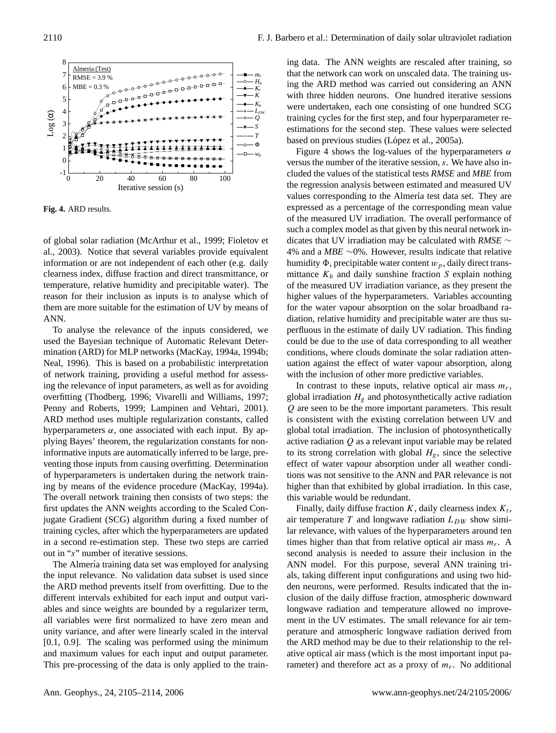

**Fig. 4.** ARD results.

of global solar radiation (McArthur et al., 1999; Fioletov et al., 2003). Notice that several variables provide equivalent information or are not independent of each other (e.g. daily clearness index, diffuse fraction and direct transmittance, or temperature, relative humidity and precipitable water). The reason for their inclusion as inputs is to analyse which of them are more suitable for the estimation of UV by means of ANN.

ARD method uses multiple regularization constants, called mination (ARD) for MLP networks (MacKay, 1994a, 1994b; To analyse the relevance of the inputs considered, we used the Bayesian technique of Automatic Relevant Deter-Neal, 1996). This is based on a probabilistic interpretation of network training, providing a useful method for assessing the relevance of input parameters, as well as for avoiding overfitting (Thodberg, 1996; Vivarelli and Williams, 1997; Penny and Roberts, 1999; Lampinen and Vehtari, 2001). hyperparameters  $\alpha$ , one associated with each input. By applying Bayes' theorem, the regularization constants for noninformative inputs are automatically inferred to be large, preventing those inputs from causing overfitting. Determination of hyperparameters is undertaken during the network training by means of the evidence procedure (MacKay, 1994a). The overall network training then consists of two steps: the first updates the ANN weights according to the Scaled Conjugate Gradient (SCG) algorithm during a fixed number of training cycles, after which the hyperparameters are updated in a second re-estimation step. These two steps are carried out in "s" number of iterative sessions.

The Almería training data set was employed for analysing the input relevance. No validation data subset is used since the ARD method prevents itself from overfitting. Due to the different intervals exhibited for each input and output variables and since weights are bounded by a regularizer term, all variables were first normalized to have zero mean and unity variance, and after were linearly scaled in the interval [0.1, 0.9]. The scaling was performed using the minimum and maximum values for each input and output parameter. This pre-processing of the data is only applied to the training data. The ANN weights are rescaled after training, so that the network can work on unscaled data. The training using the ARD method was carried out considering an ANN with three hidden neurons. One hundred iterative sessions were undertaken, each one consisting of one hundred SCG training cycles for the first step, and four hyperparameter reestimations for the second step. These values were selected based on previous studies (López et al., 2005a).

Figure 4 shows the log-values of the hyperparameters  $\alpha$ versus the number of the iterative session, s. We have also included the values of the statistical tests *RMSE* and *MBE* from the regression analysis between estimated and measured UV values corresponding to the Almería test data set. They are expressed as a percentage of the corresponding mean value of the measured UV irradiation. The overall performance of such a complex model as that given by this neural network indicates that UV irradiation may be calculated with *RMSE* ∼ 4% and a *MBE* ∼0%. However, results indicate that relative humidity  $\Phi$ , precipitable water content  $w_p$ , daily direct transmittance  $K_b$  and daily sunshine fraction S explain nothing of the measured UV irradiation variance, as they present the higher values of the hyperparameters. Variables accounting for the water vapour absorption on the solar broadband radiation, relative humidity and precipitable water are thus superfluous in the estimate of daily UV radiation. This finding could be due to the use of data corresponding to all weather conditions, where clouds dominate the solar radiation attenuation against the effect of water vapour absorption, along with the inclusion of other more predictive variables.

In contrast to these inputs, relative optical air mass  $m_r$ , global irradiation  $H_g$  and photosynthetically active radiation Q are seen to be the more important parameters. This result is consistent with the existing correlation between UV and global total irradiation. The inclusion of photosynthetically active radiation Q as a relevant input variable may be related to its strong correlation with global  $H<sub>g</sub>$ , since the selective effect of water vapour absorption under all weather conditions was not sensitive to the ANN and PAR relevance is not higher than that exhibited by global irradiation. In this case, this variable would be redundant.

Finally, daily diffuse fraction  $K$ , daily clearness index  $K_t$ , air temperature T and longwave radiation  $L_{DW}$  show similar relevance, with values of the hyperparameters around ten times higher than that from relative optical air mass  $m_r$ . A second analysis is needed to assure their inclusion in the ANN model. For this purpose, several ANN training trials, taking different input configurations and using two hidden neurons, were performed. Results indicated that the inclusion of the daily diffuse fraction, atmospheric downward longwave radiation and temperature allowed no improvement in the UV estimates. The small relevance for air temperature and atmospheric longwave radiation derived from the ARD method may be due to their relationship to the relative optical air mass (which is the most important input parameter) and therefore act as a proxy of  $m_r$ . No additional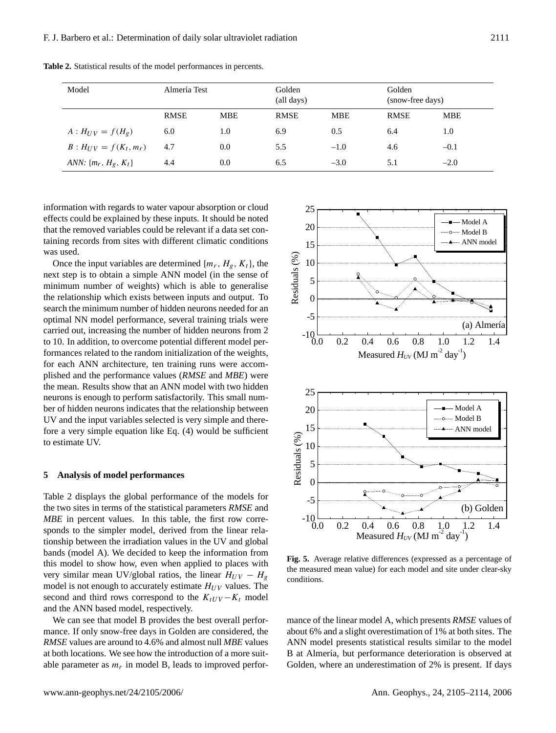| Model                            | Almería Test |            | Golden<br>(all days) |            | Golden<br>(snow-free days) |            |
|----------------------------------|--------------|------------|----------------------|------------|----------------------------|------------|
|                                  | <b>RMSE</b>  | <b>MBE</b> | <b>RMSE</b>          | <b>MBE</b> | <b>RMSE</b>                | <b>MBE</b> |
| $A: H_{UV} = f(H_g)$             | 6.0          | 1.0        | 6.9                  | 0.5        | 6.4                        | 1.0        |
| $B: H_{UV} = f(K_t, m_r)$        | 4.7          | 0.0        | 5.5                  | $-1.0$     | 4.6                        | $-0.1$     |
| <i>ANN</i> : $\{m_r, H_g, K_t\}$ | 4.4          | 0.0        | 6.5                  | $-3.0$     | 5.1                        | $-2.0$     |

**Table 2.** Statistical results of the model performances in percents.

information with regards to water vapour absorption or cloud effects could be explained by these inputs. It should be noted that the removed variables could be relevant if a data set containing records from sites with different climatic conditions was used.

Once the input variables are determined  $\{m_r, H_g, K_t\}$ , the next step is to obtain a simple ANN model (in the sense of minimum number of weights) which is able to generalise the relationship which exists between inputs and output. To search the minimum number of hidden neurons needed for an optimal NN model performance, several training trials were carried out, increasing the number of hidden neurons from 2 to 10. In addition, to overcome potential different model performances related to the random initialization of the weights, for each ANN architecture, ten training runs were accomplished and the performance values (*RMSE* and *MBE*) were the mean. Results show that an ANN model with two hidden neurons is enough to perform satisfactorily. This small number of hidden neurons indicates that the relationship between UV and the input variables selected is very simple and therefore a very simple equation like Eq. (4) would be sufficient to estimate UV.

#### **5 Analysis of model performances**

Table 2 displays the global performance of the models for the two sites in terms of the statistical parameters *RMSE* and *MBE* in percent values. In this table, the first row corresponds to the simpler model, derived from the linear relationship between the irradiation values in the UV and global bands (model A). We decided to keep the information from this model to show how, even when applied to places with very similar mean UV/global ratios, the linear  $H_{UV} - H_g$ model is not enough to accurately estimate  $H_{UV}$  values. The second and third rows correspond to the  $K_{tUV} - K_t$  model and the ANN based model, respectively.

We can see that model B provides the best overall performance. If only snow-free days in Golden are considered, the *RMSE* values are around to 4.6% and almost null *MBE* values at both locations. We see how the introduction of a more suitable parameter as  $m_r$  in model B, leads to improved perfor-



**Fig. 5.** Average relative differences (expressed as a percentage of the measured mean value) for each model and site under clear-sky conditions.

mance of the linear model A, which presents *RMSE* values of about 6% and a slight overestimation of 1% at both sites. The ANN model presents statistical results similar to the model B at Almería, but performance deterioration is observed at Golden, where an underestimation of 2% is present. If days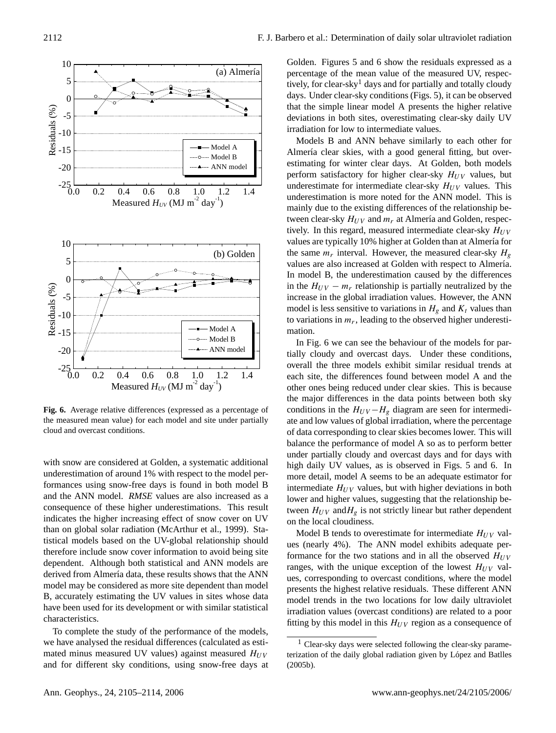

**Fig. 6.** Average relative differences (expressed as a percentage of the measured mean value) for each model and site under partially cloud and overcast conditions.

derived from Almería data, these results shows that the ANN with snow are considered at Golden, a systematic additional underestimation of around 1% with respect to the model performances using snow-free days is found in both model B and the ANN model. *RMSE* values are also increased as a consequence of these higher underestimations. This result indicates the higher increasing effect of snow cover on UV than on global solar radiation (McArthur et al., 1999). Statistical models based on the UV-global relationship should therefore include snow cover information to avoid being site dependent. Although both statistical and ANN models are model may be considered as more site dependent than model B, accurately estimating the UV values in sites whose data have been used for its development or with similar statistical characteristics.

To complete the study of the performance of the models, we have analysed the residual differences (calculated as estimated minus measured UV values) against measured  $H_{UV}$ and for different sky conditions, using snow-free days at Golden. Figures 5 and 6 show the residuals expressed as a percentage of the mean value of the measured UV, respec-tively, for clear-sky<sup>[1](#page-7-0)</sup> days and for partially and totally cloudy days. Under clear-sky conditions (Figs. 5), it can be observed that the simple linear model A presents the higher relative deviations in both sites, overestimating clear-sky daily UV irradiation for low to intermediate values.

Models B and ANN behave similarly to each other for Almería clear skies, with a good general fitting, but overestimating for winter clear days. At Golden, both models perform satisfactory for higher clear-sky  $H_{UV}$  values, but underestimate for intermediate clear-sky  $H_{UV}$  values. This underestimation is more noted for the ANN model. This is mainly due to the existing differences of the relationship between clear-sky  $H_{UV}$  and  $m_r$  at Almería and Golden, respectively. In this regard, measured intermediate clear-sky  $H_{UV}$ values are typically 10% higher at Golden than at Almería for the same  $m_r$  interval. However, the measured clear-sky  $H_g$ values are also increased at Golden with respect to Almería. In model B, the underestimation caused by the differences in the  $H_{UV} - m_r$  relationship is partially neutralized by the increase in the global irradiation values. However, the ANN model is less sensitive to variations in  $H<sub>g</sub>$  and  $K<sub>t</sub>$  values than to variations in  $m_r$ , leading to the observed higher underestimation.

In Fig. 6 we can see the behaviour of the models for partially cloudy and overcast days. Under these conditions, overall the three models exhibit similar residual trends at each site, the differences found between model A and the other ones being reduced under clear skies. This is because the major differences in the data points between both sky conditions in the  $H_{UV} - H_g$  diagram are seen for intermediate and low values of global irradiation, where the percentage of data corresponding to clear skies becomes lower. This will balance the performance of model A so as to perform better under partially cloudy and overcast days and for days with high daily UV values, as is observed in Figs. 5 and 6. In more detail, model A seems to be an adequate estimator for intermediate  $H_{UV}$  values, but with higher deviations in both lower and higher values, suggesting that the relationship between  $H_{UV}$  and  $H_g$  is not strictly linear but rather dependent on the local cloudiness.

Model B tends to overestimate for intermediate  $H_{UV}$  values (nearly 4%). The ANN model exhibits adequate performance for the two stations and in all the observed  $H_{UV}$ ranges, with the unique exception of the lowest  $H_{UV}$  values, corresponding to overcast conditions, where the model presents the highest relative residuals. These different ANN model trends in the two locations for low daily ultraviolet irradiation values (overcast conditions) are related to a poor fitting by this model in this  $H_{UV}$  region as a consequence of

<span id="page-7-0"></span><sup>1</sup> Clear-sky days were selected following the clear-sky parameterization of the daily global radiation given by López and Batlles (2005b).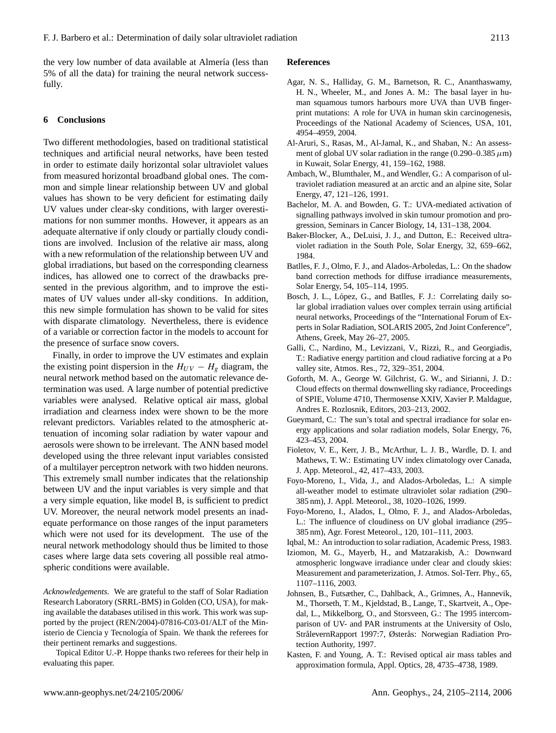the very low number of data available at Almería (less than 5% of all the data) for training the neural network successfully.

## **6 Conclusions**

Two different methodologies, based on traditional statistical techniques and artificial neural networks, have been tested in order to estimate daily horizontal solar ultraviolet values from measured horizontal broadband global ones. The common and simple linear relationship between UV and global values has shown to be very deficient for estimating daily UV values under clear-sky conditions, with larger overestimations for non summer months. However, it appears as an adequate alternative if only cloudy or partially cloudy conditions are involved. Inclusion of the relative air mass, along with a new reformulation of the relationship between UV and global irradiations, but based on the corresponding clearness indices, has allowed one to correct of the drawbacks presented in the previous algorithm, and to improve the estimates of UV values under all-sky conditions. In addition, this new simple formulation has shown to be valid for sites with disparate climatology. Nevertheless, there is evidence of a variable or correction factor in the models to account for the presence of surface snow covers.

Finally, in order to improve the UV estimates and explain the existing point dispersion in the  $H_{UV} - H_g$  diagram, the neural network method based on the automatic relevance determination was used. A large number of potential predictive variables were analysed. Relative optical air mass, global irradiation and clearness index were shown to be the more relevant predictors. Variables related to the atmospheric attenuation of incoming solar radiation by water vapour and aerosols were shown to be irrelevant. The ANN based model developed using the three relevant input variables consisted of a multilayer perceptron network with two hidden neurons. This extremely small number indicates that the relationship between UV and the input variables is very simple and that a very simple equation, like model B, is sufficient to predict UV. Moreover, the neural network model presents an inadequate performance on those ranges of the input parameters which were not used for its development. The use of the neural network methodology should thus be limited to those cases where large data sets covering all possible real atmospheric conditions were available.

*Acknowledgements.* We are grateful to the staff of Solar Radiation Research Laboratory (SRRL-BMS) in Golden (CO, USA), for making available the databases utilised in this work. This work was supported by the project (REN/2004)-07816-C03-01/ALT of the Ministerio de Ciencia y Tecnología of Spain. We thank the referees for their pertinent remarks and suggestions.

Topical Editor U.-P. Hoppe thanks two referees for their help in evaluating this paper.

#### **References**

- Agar, N. S., Halliday, G. M., Barnetson, R. C., Ananthaswamy, H. N., Wheeler, M., and Jones A. M.: The basal layer in human squamous tumors harbours more UVA than UVB fingerprint mutations: A role for UVA in human skin carcinogenesis, Proceedings of the National Academy of Sciences, USA, 101, 4954–4959, 2004.
- Al-Aruri, S., Rasas, M., Al-Jamal, K., and Shaban, N.: An assessment of global UV solar radiation in the range (0.290–0.385  $\mu$ m) in Kuwait, Solar Energy, 41, 159–162, 1988.
- Ambach, W., Blumthaler, M., and Wendler, G.: A comparison of ultraviolet radiation measured at an arctic and an alpine site, Solar Energy, 47, 121–126, 1991.
- Bachelor, M. A. and Bowden, G. T.: UVA-mediated activation of signalling pathways involved in skin tumour promotion and progression, Seminars in Cancer Biology, 14, 131–138, 2004.
- Baker-Blocker, A., DeLuisi, J. J., and Dutton, E.: Received ultraviolet radiation in the South Pole, Solar Energy, 32, 659–662, 1984.
- Batlles, F. J., Olmo, F. J., and Alados-Arboledas, L.: On the shadow band correction methods for diffuse irradiance measurements, Solar Energy, 54, 105–114, 1995.
- Bosch, J. L., López, G., and Batlles, F. J.: Correlating daily solar global irradiation values over complex terrain using artificial neural networks, Proceedings of the "International Forum of Experts in Solar Radiation, SOLARIS 2005, 2nd Joint Conference", Athens, Greek, May 26–27, 2005.
- Galli, C., Nardino, M., Levizzani, V., Rizzi, R., and Georgiadis, T.: Radiative energy partition and cloud radiative forcing at a Po valley site, Atmos. Res., 72, 329–351, 2004.
- Goforth, M. A., George W. Gilchrist, G. W., and Sirianni, J. D.: Cloud effects on thermal downwelling sky radiance, Proceedings of SPIE, Volume 4710, Thermosense XXIV, Xavier P. Maldague, Andres E. Rozlosnik, Editors, 203–213, 2002.
- Gueymard, C.: The sun's total and spectral irradiance for solar energy applications and solar radiation models, Solar Energy, 76, 423–453, 2004.
- Fioletov, V. E., Kerr, J. B., McArthur, L. J. B., Wardle, D. I. and Mathews, T. W.: Estimating UV index climatology over Canada, J. App. Meteorol., 42, 417–433, 2003.
- Foyo-Moreno, I., Vida, J., and Alados-Arboledas, L.: A simple all-weather model to estimate ultraviolet solar radiation (290– 385 nm), J. Appl. Meteorol., 38, 1020–1026, 1999.
- Foyo-Moreno, I., Alados, I., Olmo, F. J., and Alados-Arboledas, L.: The influence of cloudiness on UV global irradiance (295– 385 nm), Agr. Forest Meteorol., 120, 101–111, 2003.
- Iqbal, M.: An introduction to solar radiation, Academic Press, 1983.
- Iziomon, M. G., Mayerb, H., and Matzarakisb, A.: Downward atmospheric longwave irradiance under clear and cloudy skies: Measurement and parameterization, J. Atmos. Sol-Terr. Phy., 65, 1107–1116, 2003.
- Johnsen, B., Futsæther, C., Dahlback, A., Grimnes, A., Hannevik, M., Thorseth, T. M., Kjeldstad, B., Lange, T., Skartveit, A., Opedal, L., Mikkelborg, O., and Storsveen, G.: The 1995 intercomparison of UV- and PAR instruments at the University of Oslo, StrålevernRapport 1997:7, Østerås: Norwegian Radiation Protection Authority, 1997.
- Kasten, F. and Young, A. T.: Revised optical air mass tables and approximation formula, Appl. Optics, 28, 4735–4738, 1989.